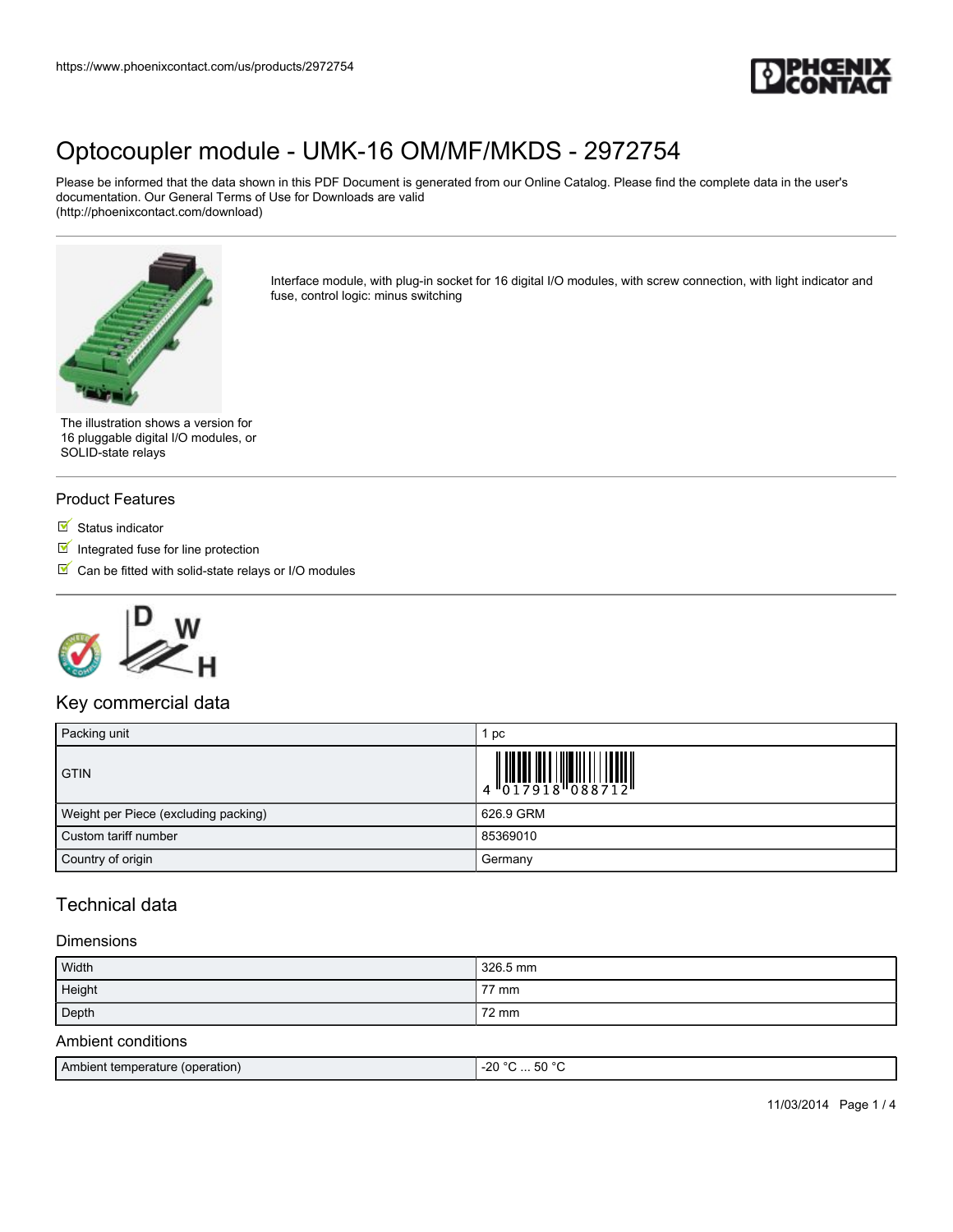

Please be informed that the data shown in this PDF Document is generated from our Online Catalog. Please find the complete data in the user's documentation. Our General Terms of Use for Downloads are valid (http://phoenixcontact.com/download)



Interface module, with plug-in socket for 16 digital I/O modules, with screw connection, with light indicator and fuse, control logic: minus switching

The illustration shows a version for 16 pluggable digital I/O modules, or SOLID-state relays

### Product Features

- $\blacksquare$  Status indicator
- $\blacksquare$  Integrated fuse for line protection
- $\blacksquare$  Can be fitted with solid-state relays or I/O modules



## Key commercial data

| Packing unit                         | рc                                                                                                                                                                                                                                                                                                                                                                                                                                                                 |
|--------------------------------------|--------------------------------------------------------------------------------------------------------------------------------------------------------------------------------------------------------------------------------------------------------------------------------------------------------------------------------------------------------------------------------------------------------------------------------------------------------------------|
| <b>GTIN</b>                          | $\left \begin{array}{c} \phantom{-} \phantom{-} \\ 4 \phantom{+} \phantom{+} \\ 4 \phantom{+} \phantom{+} \\ 0 \phantom{+} 1 \phantom{+} \\ 2 \phantom{+} \end{array}\right  \left \left \begin{array}{c} \phantom{-} \phantom{-} \\ \phantom{-} \\ 1 \phantom{+} \\ 0 \phantom{+} \\ 1 \phantom{+} \\ 2 \phantom{+} \\ 0 \phantom{+} \\ 2 \phantom{+} \\ 0 \phantom{+} \\ 0 \phantom{+} \\ 0 \phantom{+} \\ 0 \phantom{+} \\ 0 \phantom{+} \\ 0 \phantom{+} \\ 0$ |
| Weight per Piece (excluding packing) | 626.9 GRM                                                                                                                                                                                                                                                                                                                                                                                                                                                          |
| Custom tariff number                 | 85369010                                                                                                                                                                                                                                                                                                                                                                                                                                                           |
| Country of origin                    | Germany                                                                                                                                                                                                                                                                                                                                                                                                                                                            |

## Technical data

#### **Dimensions**

| Width              | 326.5 mm |
|--------------------|----------|
| Height             | 77 mm    |
| Depth              | 72 mm    |
| Ambient conditions |          |

| EN °C<br>(operation)<br>Amh<br><b>Examperature</b> router<br>-21.<br>JU.<br>. |
|-------------------------------------------------------------------------------|
|-------------------------------------------------------------------------------|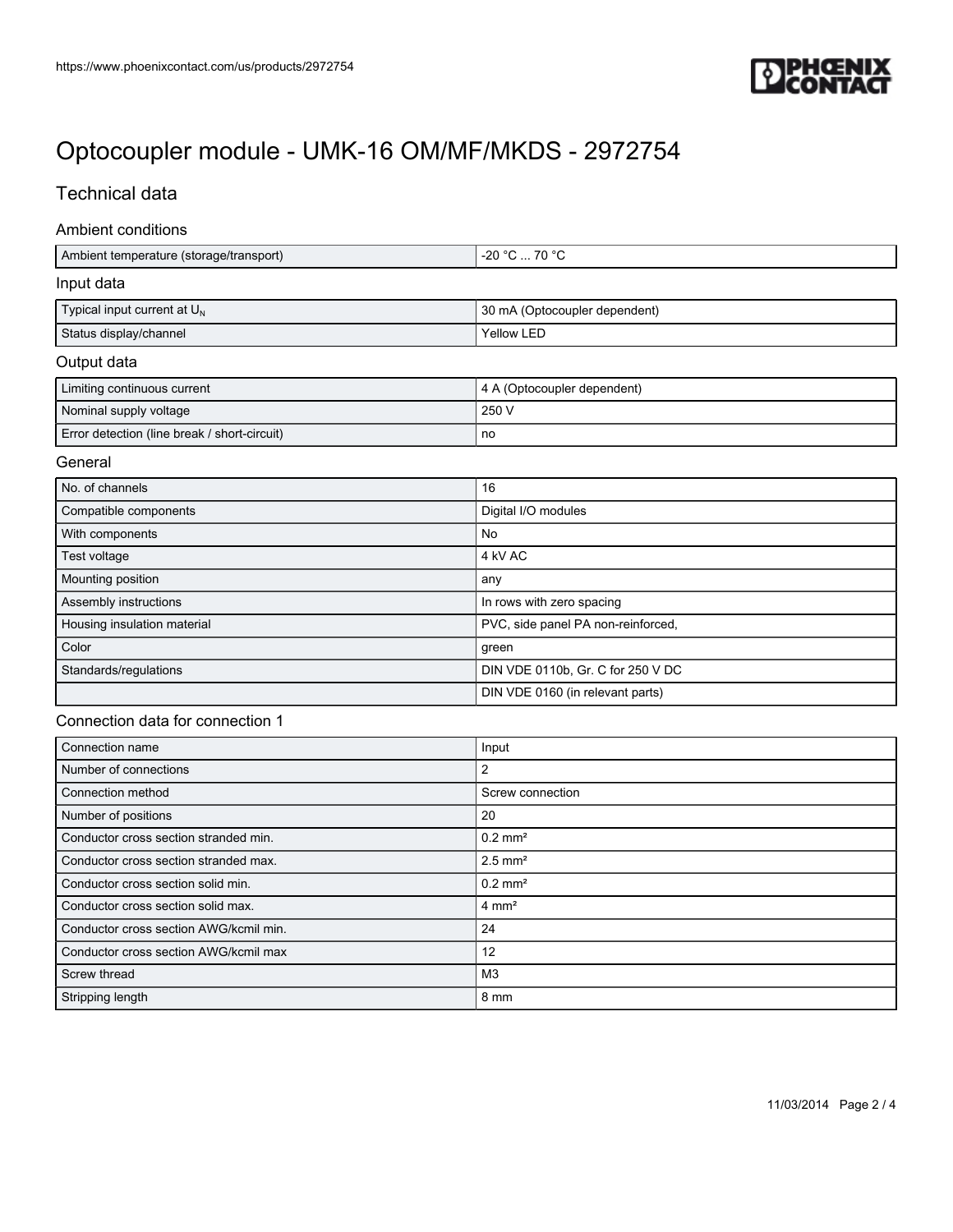

## Technical data

#### Ambient conditions

| Ambient temperature (storage/transport) | l -20 °C … 70 °C .            |
|-----------------------------------------|-------------------------------|
| Input data                              |                               |
| Typical input current at $U_N$          | 30 mA (Optocoupler dependent) |
| Status display/channel                  | Yellow LED                    |

### Output data

| Limiting continuous current                  | 4 A (Optocoupler dependent) |
|----------------------------------------------|-----------------------------|
| Nominal supply voltage                       | 250 V                       |
| Error detection (line break / short-circuit) | no                          |

### General

| No. of channels             | 16                                 |
|-----------------------------|------------------------------------|
| Compatible components       | Digital I/O modules                |
| With components             | No                                 |
| Test voltage                | 4 kV AC                            |
| Mounting position           | any                                |
| Assembly instructions       | In rows with zero spacing          |
| Housing insulation material | PVC, side panel PA non-reinforced, |
| Color                       | green                              |
| Standards/regulations       | DIN VDE 0110b, Gr. C for 250 V DC  |
|                             | DIN VDE 0160 (in relevant parts)   |

## Connection data for connection 1

| Connection name                        | Input                 |
|----------------------------------------|-----------------------|
| Number of connections                  | 2                     |
| Connection method                      | Screw connection      |
| Number of positions                    | 20                    |
| Conductor cross section stranded min.  | $0.2$ mm <sup>2</sup> |
| Conductor cross section stranded max.  | $2.5$ mm <sup>2</sup> |
| Conductor cross section solid min.     | $0.2$ mm <sup>2</sup> |
| Conductor cross section solid max.     | $4 \text{ mm}^2$      |
| Conductor cross section AWG/kcmil min. | 24                    |
| Conductor cross section AWG/kcmil max  | 12                    |
| Screw thread                           | M <sub>3</sub>        |
| Stripping length                       | 8 mm                  |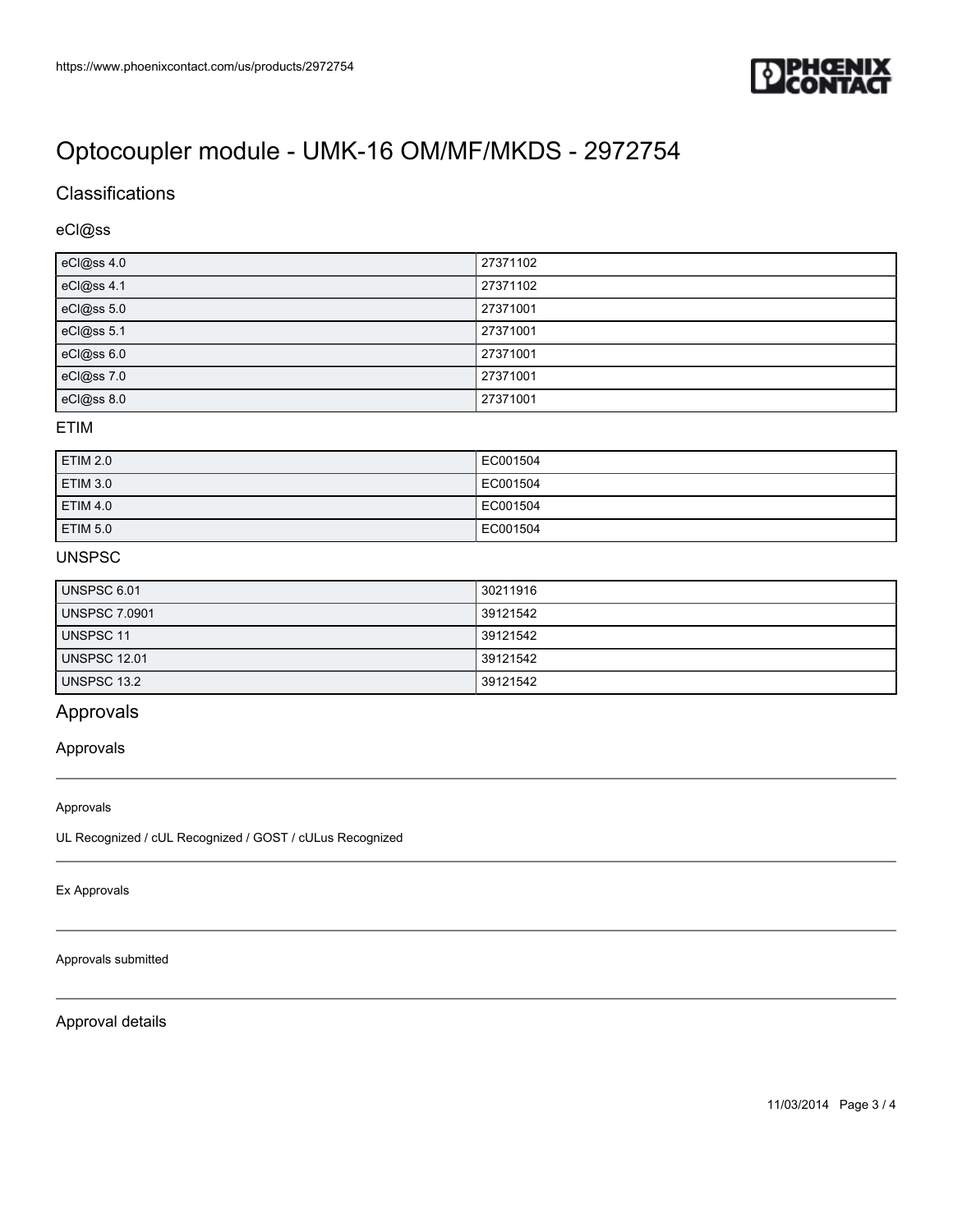

## **Classifications**

## eCl@ss

| eCl@ss 4.0 | 27371102 |
|------------|----------|
| eCl@ss 4.1 | 27371102 |
| eCl@ss 5.0 | 27371001 |
| eCl@ss 5.1 | 27371001 |
| eCl@ss 6.0 | 27371001 |
| eCl@ss 7.0 | 27371001 |
| eCl@ss 8.0 | 27371001 |

#### ETIM

| ETIM 2.0        | EC001504 |
|-----------------|----------|
| ETIM 3.0        | EC001504 |
| <b>ETIM 4.0</b> | EC001504 |
| ETIM 5.0        | EC001504 |

## UNSPSC

| <b>UNSPSC 6.01</b>   | 30211916 |
|----------------------|----------|
| <b>UNSPSC 7.0901</b> | 39121542 |
| UNSPSC 11            | 39121542 |
| <b>UNSPSC 12.01</b>  | 39121542 |
| UNSPSC 13.2          | 39121542 |

## Approvals

### Approvals

#### Approvals

UL Recognized / cUL Recognized / GOST / cULus Recognized

Ex Approvals

Approvals submitted

Approval details